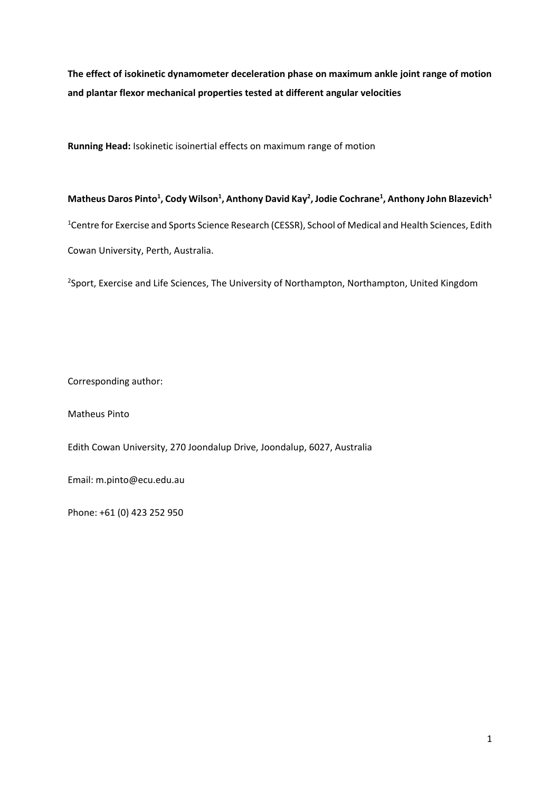**The effect of isokinetic dynamometer deceleration phase on maximum ankle joint range of motion and plantar flexor mechanical properties tested at different angular velocities** 

**Running Head:** Isokinetic isoinertial effects on maximum range of motion

# **Matheus Daros Pinto<sup>1</sup> , Cody Wilson<sup>1</sup> , Anthony David Kay<sup>2</sup> , Jodie Cochrane<sup>1</sup> , Anthony John Blazevich<sup>1</sup>** <sup>1</sup>Centre for Exercise and Sports Science Research (CESSR), School of Medical and Health Sciences, Edith Cowan University, Perth, Australia.

<sup>2</sup>Sport, Exercise and Life Sciences, The University of Northampton, Northampton, United Kingdom

Corresponding author:

Matheus Pinto

Edith Cowan University, 270 Joondalup Drive, Joondalup, 6027, Australia

Email: m.pinto@ecu.edu.au

Phone: +61 (0) 423 252 950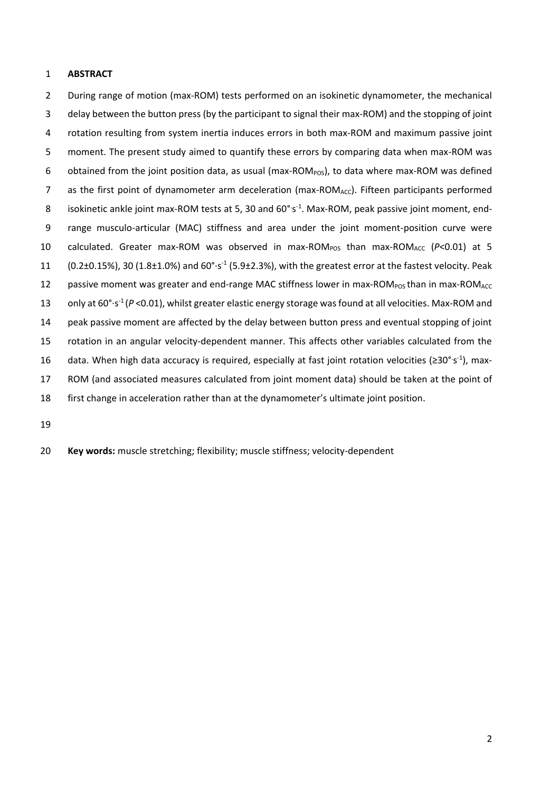# **ABSTRACT**

 During range of motion (max-ROM) tests performed on an isokinetic dynamometer, the mechanical delay between the button press (by the participant to signal their max-ROM) and the stopping of joint rotation resulting from system inertia induces errors in both max-ROM and maximum passive joint moment. The present study aimed to quantify these errors by comparing data when max-ROM was 6 obtained from the joint position data, as usual ( $max\text{-ROM}_{POS}$ ), to data where max-ROM was defined 7 as the first point of dynamometer arm deceleration (max-ROM<sub>ACC</sub>). Fifteen participants performed 8 isokinetic ankle joint max-ROM tests at 5, 30 and  $60^{\circ}$ s<sup>-1</sup>. Max-ROM, peak passive joint moment, end- range musculo-articular (MAC) stiffness and area under the joint moment-position curve were 10 calculated. Greater max-ROM was observed in max-ROM<sub>POS</sub> than max-ROM<sub>ACC</sub> (*P*<0.01) at 5 11  $(0.2\pm0.15\%)$ , 30 (1.8 $\pm$ 1.0%) and 60°·s<sup>-1</sup> (5.9 $\pm$ 2.3%), with the greatest error at the fastest velocity. Peak 12 passive moment was greater and end-range MAC stiffness lower in max-ROM<sub>POS</sub> than in max-ROM<sub>ACC</sub> 13 only at 60°·s<sup>-1</sup> (*P* <0.01), whilst greater elastic energy storage was found at all velocities. Max-ROM and peak passive moment are affected by the delay between button press and eventual stopping of joint rotation in an angular velocity-dependent manner. This affects other variables calculated from the 16 data. When high data accuracy is required, especially at fast joint rotation velocities (≥30° s<sup>-1</sup>), max- ROM (and associated measures calculated from joint moment data) should be taken at the point of first change in acceleration rather than at the dynamometer's ultimate joint position.

**Key words:** muscle stretching; flexibility; muscle stiffness; velocity-dependent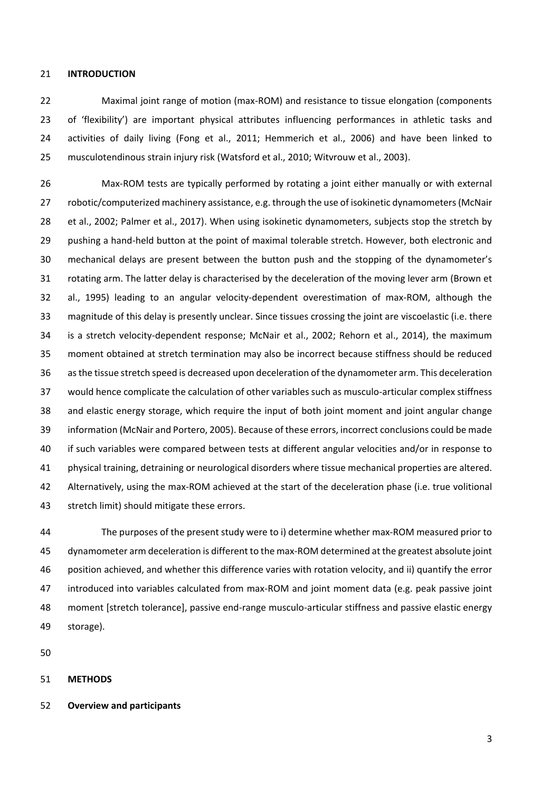#### **INTRODUCTION**

 Maximal joint range of motion (max-ROM) and resistance to tissue elongation (components of 'flexibility') are important physical attributes influencing performances in athletic tasks and activities of daily living (Fong et al., 2011; Hemmerich et al., 2006) and have been linked to musculotendinous strain injury risk (Watsford et al., 2010; Witvrouw et al., 2003).

 Max-ROM tests are typically performed by rotating a joint either manually or with external 27 robotic/computerized machinery assistance, e.g. through the use of isokinetic dynamometers (McNair et al., 2002; Palmer et al., 2017). When using isokinetic dynamometers, subjects stop the stretch by pushing a hand-held button at the point of maximal tolerable stretch. However, both electronic and mechanical delays are present between the button push and the stopping of the dynamometer's rotating arm. The latter delay is characterised by the deceleration of the moving lever arm (Brown et al., 1995) leading to an angular velocity-dependent overestimation of max-ROM, although the magnitude of this delay is presently unclear. Since tissues crossing the joint are viscoelastic (i.e. there is a stretch velocity-dependent response; McNair et al., 2002; Rehorn et al., 2014), the maximum moment obtained at stretch termination may also be incorrect because stiffness should be reduced as the tissue stretch speed is decreased upon deceleration of the dynamometer arm. This deceleration would hence complicate the calculation of other variables such as musculo-articular complex stiffness and elastic energy storage, which require the input of both joint moment and joint angular change information (McNair and Portero, 2005). Because of these errors, incorrect conclusions could be made if such variables were compared between tests at different angular velocities and/or in response to physical training, detraining or neurological disorders where tissue mechanical properties are altered. Alternatively, using the max-ROM achieved at the start of the deceleration phase (i.e. true volitional stretch limit) should mitigate these errors.

 The purposes of the present study were to i) determine whether max-ROM measured prior to dynamometer arm deceleration is different to the max-ROM determined at the greatest absolute joint position achieved, and whether this difference varies with rotation velocity, and ii) quantify the error introduced into variables calculated from max-ROM and joint moment data (e.g. peak passive joint moment [stretch tolerance], passive end-range musculo-articular stiffness and passive elastic energy storage).

## **METHODS**

**Overview and participants**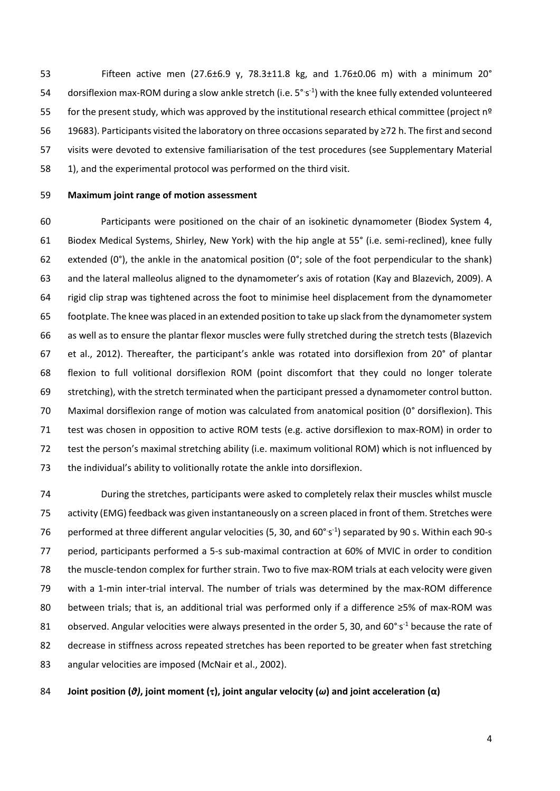Fifteen active men (27.6±6.9 y, 78.3±11.8 kg, and 1.76±0.06 m) with a minimum 20° 54 dorsiflexion max-ROM during a slow ankle stretch (i.e.  $5^{\circ}$ s<sup>-1</sup>) with the knee fully extended volunteered 55 for the present study, which was approved by the institutional research ethical committee (project nº 19683). Participants visited the laboratory on three occasions separated by ≥72 h. The first and second visits were devoted to extensive familiarisation of the test procedures (see Supplementary Material 1), and the experimental protocol was performed on the third visit.

#### **Maximum joint range of motion assessment**

 Participants were positioned on the chair of an isokinetic dynamometer (Biodex System 4, Biodex Medical Systems, Shirley, New York) with the hip angle at 55° (i.e. semi-reclined), knee fully 62 extended (0°), the ankle in the anatomical position (0°; sole of the foot perpendicular to the shank) and the lateral malleolus aligned to the dynamometer's axis of rotation (Kay and Blazevich, 2009). A rigid clip strap was tightened across the foot to minimise heel displacement from the dynamometer footplate. The knee was placed in an extended position to take up slack from the dynamometer system as well as to ensure the plantar flexor muscles were fully stretched during the stretch tests (Blazevich et al., 2012). Thereafter, the participant's ankle was rotated into dorsiflexion from 20° of plantar flexion to full volitional dorsiflexion ROM (point discomfort that they could no longer tolerate stretching), with the stretch terminated when the participant pressed a dynamometer control button. Maximal dorsiflexion range of motion was calculated from anatomical position (0° dorsiflexion). This test was chosen in opposition to active ROM tests (e.g. active dorsiflexion to max-ROM) in order to test the person's maximal stretching ability (i.e. maximum volitional ROM) which is not influenced by the individual's ability to volitionally rotate the ankle into dorsiflexion.

 During the stretches, participants were asked to completely relax their muscles whilst muscle activity (EMG) feedback was given instantaneously on a screen placed in front of them. Stretches were 76 performed at three different angular velocities (5, 30, and 60 $^{\circ}$ s<sup>-1</sup>) separated by 90 s. Within each 90-s period, participants performed a 5-s sub-maximal contraction at 60% of MVIC in order to condition the muscle-tendon complex for further strain. Two to five max-ROM trials at each velocity were given with a 1-min inter-trial interval. The number of trials was determined by the max-ROM difference between trials; that is, an additional trial was performed only if a difference ≥5% of max-ROM was 81 observed. Angular velocities were always presented in the order 5, 30, and 60 $^{\circ}$ s<sup>-1</sup> because the rate of 82 decrease in stiffness across repeated stretches has been reported to be greater when fast stretching angular velocities are imposed (McNair et al., 2002).

**Joint position (***θ)***, joint moment (), joint angular velocity (***ω***) and joint acceleration (α)**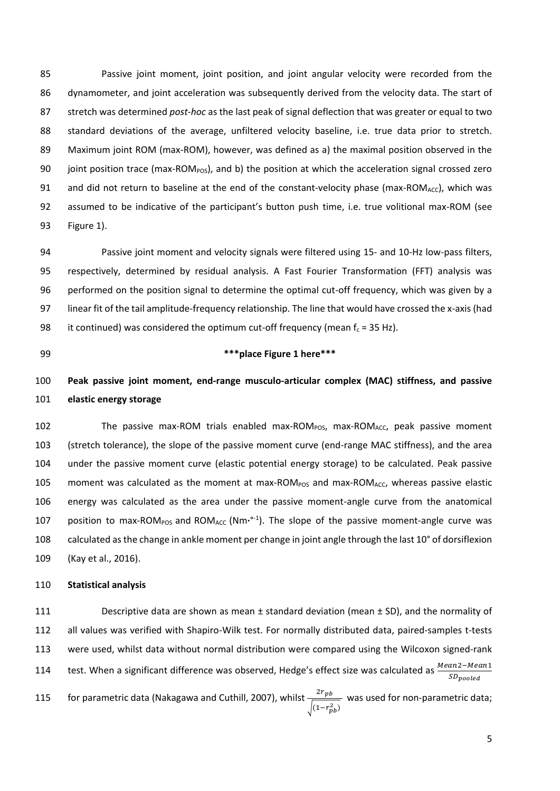Passive joint moment, joint position, and joint angular velocity were recorded from the dynamometer, and joint acceleration was subsequently derived from the velocity data. The start of stretch was determined *post-hoc* as the last peak of signal deflection that was greater or equal to two standard deviations of the average, unfiltered velocity baseline, i.e. true data prior to stretch. Maximum joint ROM (max-ROM), however, was defined as a) the maximal position observed in the 90 joint position trace (max-ROM<sub>POS</sub>), and b) the position at which the acceleration signal crossed zero 91 and did not return to baseline at the end of the constant-velocity phase (max-ROM<sub>ACC</sub>), which was assumed to be indicative of the participant's button push time, i.e. true volitional max-ROM (see Figure 1).

 Passive joint moment and velocity signals were filtered using 15- and 10-Hz low-pass filters, respectively, determined by residual analysis. A Fast Fourier Transformation (FFT) analysis was performed on the position signal to determine the optimal cut-off frequency, which was given by a linear fit of the tail amplitude-frequency relationship. The line that would have crossed the x-axis (had 98 it continued) was considered the optimum cut-off frequency (mean  $f_c = 35$  Hz).

# **\*\*\*place Figure 1 here\*\*\***

# **Peak passive joint moment, end-range musculo-articular complex (MAC) stiffness, and passive elastic energy storage**

102 The passive max-ROM trials enabled max-ROM<sub>POS</sub>, max-ROM<sub>ACC</sub>, peak passive moment (stretch tolerance), the slope of the passive moment curve (end-range MAC stiffness), and the area under the passive moment curve (elastic potential energy storage) to be calculated. Peak passive 105 moment was calculated as the moment at max-ROM<sub>POS</sub> and max-ROM<sub>ACC</sub>, whereas passive elastic energy was calculated as the area under the passive moment-angle curve from the anatomical 107 position to max-ROM<sub>POS</sub> and ROM<sub>ACC</sub> (Nm·<sup>o-1</sup>). The slope of the passive moment-angle curve was calculated as the change in ankle moment per change in joint angle through the last 10° of dorsiflexion (Kay et al., 2016).

#### **Statistical analysis**

 Descriptive data are shown as mean ± standard deviation (mean ± SD), and the normality of all values was verified with Shapiro-Wilk test. For normally distributed data, paired-samples t-tests were used, whilst data without normal distribution were compared using the Wilcoxon signed-rank test. When a significant difference was observed, Hedge's effect size was calculated as  $\frac{Mean2-Mean1}{SD_{pooled}}$  for parametric data (Nakagawa and Cuthill, 2007), whilst  $\frac{2r_{pb}}{\sqrt{2r_{eb}}}$  $\sqrt{(1-r_{pb}^2)}$ 115 for parametric data (Nakagawa and Cuthill, 2007), whilst  $\frac{2766}{100}$  was used for non-parametric data;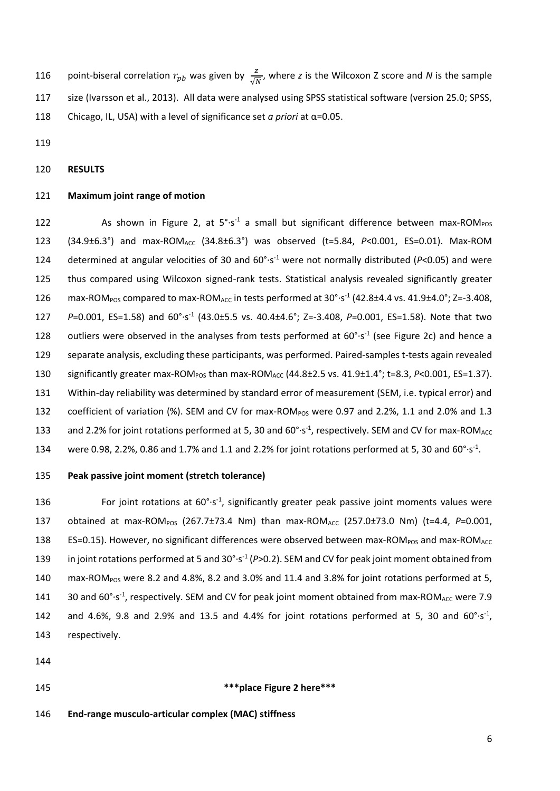116 point-biseral correlation  $r_{pb}$  was given by  $\frac{z}{\sqrt{N}}$ , where z is the Wilcoxon Z score and *N* is the sample 117 size (Ivarsson et al., 2013). All data were analysed using SPSS statistical software (version 25.0; SPSS, 118 Chicago, IL, USA) with a level of significance set *a priori* at α=0.05.

119

# 120 **RESULTS**

#### 121 **Maximum joint range of motion**

122 As shown in Figure 2, at  $5^{\circ} \cdot s^{-1}$  a small but significant difference between max-ROM<sub>POS</sub> 123 (34.9±6.3°) and max-ROM<sub>ACC</sub> (34.8±6.3°) was observed (t=5.84, *P*<0.001, ES=0.01). Max-ROM 124 determined at angular velocities of 30 and  $60^{\circ}$  s<sup>-1</sup> were not normally distributed ( $P$ <0.05) and were 125 thus compared using Wilcoxon signed-rank tests. Statistical analysis revealed significantly greater 126 max-ROM<sub>POS</sub> compared to max-ROM<sub>ACC</sub> in tests performed at 30°·s<sup>-1</sup> (42.8±4.4 vs. 41.9±4.0°; Z=-3.408, 127 P=0.001, ES=1.58) and 60°·s<sup>-1</sup> (43.0±5.5 vs. 40.4±4.6°; Z=-3.408, P=0.001, ES=1.58). Note that two 128 outliers were observed in the analyses from tests performed at  $60^{\circ}$ -s<sup>-1</sup> (see Figure 2c) and hence a 129 separate analysis, excluding these participants, was performed. Paired-samples t-tests again revealed 130 significantly greater max-ROM<sub>POS</sub> than max-ROM<sub>ACC</sub> (44.8±2.5 vs. 41.9±1.4°; t=8.3, *P<0.001*, ES=1.37). 131 Within-day reliability was determined by standard error of measurement (SEM, i.e. typical error) and 132 coefficient of variation (%). SEM and CV for max-ROM<sub>POS</sub> were 0.97 and 2.2%, 1.1 and 2.0% and 1.3 133 and 2.2% for joint rotations performed at 5, 30 and  $60^{\circ} \cdot s^{-1}$ , respectively. SEM and CV for max-ROM<sub>ACC</sub> 134 were 0.98, 2.2%, 0.86 and 1.7% and 1.1 and 2.2% for joint rotations performed at 5, 30 and  $60^{\circ} \cdot s^{-1}$ .

# 135 **Peak passive joint moment (stretch tolerance)**

136 For joint rotations at  $60^{\circ}$ -s<sup>-1</sup>, significantly greater peak passive joint moments values were 137 obtained at max-ROM<sub>POS</sub> (267.7±73.4 Nm) than max-ROM<sub>ACC</sub> (257.0±73.0 Nm) (t=4.4, P=0.001, 138 ES=0.15). However, no significant differences were observed between max-ROM<sub>POS</sub> and max-ROM<sub>ACC</sub> 139 in joint rotations performed at 5 and 30°·s<sup>-1</sup> (P>0.2). SEM and CV for peak joint moment obtained from 140 max-ROM<sub>POS</sub> were 8.2 and 4.8%, 8.2 and 3.0% and 11.4 and 3.8% for joint rotations performed at 5, 141 30 and  $60^{\circ} \cdot s^{-1}$ , respectively. SEM and CV for peak joint moment obtained from max-ROM<sub>ACC</sub> were 7.9 142 and 4.6%, 9.8 and 2.9% and 13.5 and 4.4% for joint rotations performed at 5, 30 and  $60^{\circ}$  s<sup>-1</sup>, 143 respectively.

- 144
- 

#### 145 **\*\*\*place Figure 2 here\*\*\***

146 **End-range musculo-articular complex (MAC) stiffness**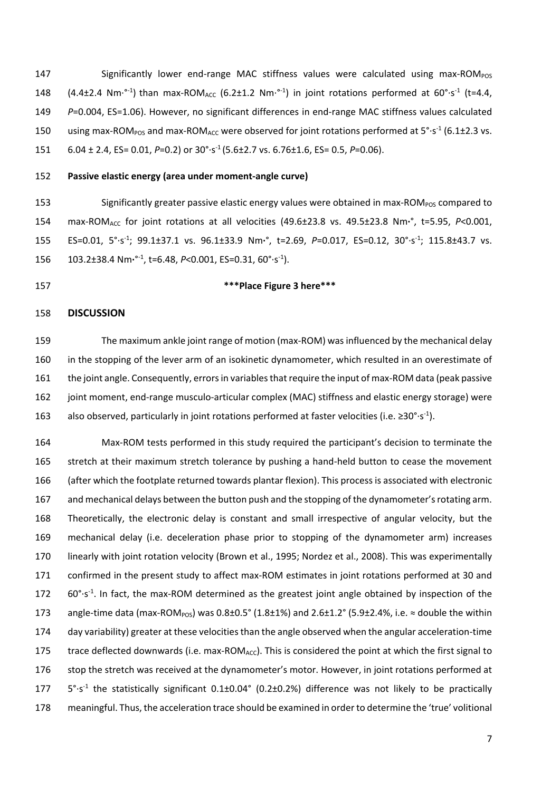147 Significantly lower end-range MAC stiffness values were calculated using max-ROM $_{\text{POS}}$ 148 (4.4 $\pm$ 2.4 Nm<sup>. o-1</sup>) than max-ROM<sub>ACC</sub> (6.2 $\pm$ 1.2 Nm<sup>. o-1</sup>) in joint rotations performed at 60°·s<sup>-1</sup> (t=4.4, *P*=0.004, ES=1.06). However, no significant differences in end-range MAC stiffness values calculated 150 using max-ROM<sub>POS</sub> and max-ROM<sub>ACC</sub> were observed for joint rotations performed at  $5^{\circ} \cdot s^{-1}$  (6.1±2.3 vs. 6.04 ± 2.4, ES= 0.01, *P*=0.2) or 30°·s-1 (5.6±2.7 vs. 6.76±1.6, ES= 0.5, *P*=0.06).

#### **Passive elastic energy (area under moment-angle curve)**

153 Significantly greater passive elastic energy values were obtained in max-ROM<sub>POS</sub> compared to 154 max-ROM<sub>ACC</sub> for joint rotations at all velocities (49.6±23.8 vs. 49.5±23.8 Nm·<sup>°</sup>, t=5.95, *P<0.001*, 155 ES=0.01, 5°·s<sup>-1</sup>; 99.1±37.1 vs. 96.1±33.9 Nm<sup>,</sup>°, t=2.69, P=0.017, ES=0.12, 30°·s<sup>-1</sup>; 115.8±43.7 vs. 156 103.2±38.4 Nm·<sup>°-1</sup>, t=6.48, *P*<0.001, ES=0.31, 60°·s<sup>-1</sup>).

# **\*\*\*Place Figure 3 here\*\*\***

#### **DISCUSSION**

 The maximum ankle joint range of motion (max-ROM) was influenced by the mechanical delay in the stopping of the lever arm of an isokinetic dynamometer, which resulted in an overestimate of the joint angle. Consequently, errors in variables that require the input of max-ROM data (peak passive joint moment, end-range musculo-articular complex (MAC) stiffness and elastic energy storage) were also observed, particularly in joint rotations performed at faster velocities (i.e.  $\geq 30^{\circ} \cdot s^{-1}$ ).

 Max-ROM tests performed in this study required the participant's decision to terminate the stretch at their maximum stretch tolerance by pushing a hand-held button to cease the movement (after which the footplate returned towards plantar flexion). This process is associated with electronic and mechanical delays between the button push and the stopping of the dynamometer's rotating arm. Theoretically, the electronic delay is constant and small irrespective of angular velocity, but the mechanical delay (i.e. deceleration phase prior to stopping of the dynamometer arm) increases linearly with joint rotation velocity (Brown et al., 1995; Nordez et al., 2008). This was experimentally confirmed in the present study to affect max-ROM estimates in joint rotations performed at 30 and 60°·s<sup>-1</sup>. In fact, the max-ROM determined as the greatest joint angle obtained by inspection of the 173 angle-time data (max-ROM<sub>POS</sub>) was  $0.8\pm0.5^\circ$  (1.8 $\pm1\%$ ) and 2.6 $\pm1.2^\circ$  (5.9 $\pm2.4\%$ , i.e. ≈ double the within day variability) greater at these velocitiesthan the angle observed when the angular acceleration-time 175 trace deflected downwards (i.e. max-ROMACC). This is considered the point at which the first signal to stop the stretch was received at the dynamometer's motor. However, in joint rotations performed at 5°·s-1 the statistically significant 0.1±0.04° (0.2±0.2%) difference was not likely to be practically meaningful. Thus, the acceleration trace should be examined in order to determine the 'true' volitional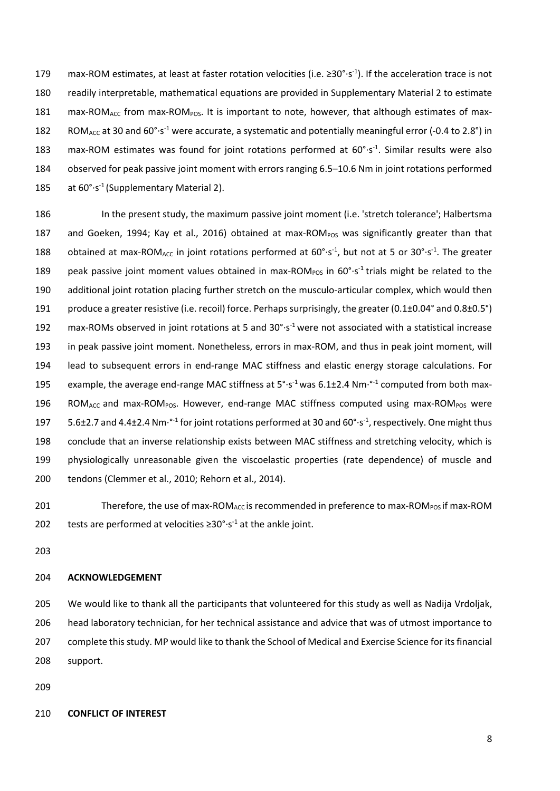179 max-ROM estimates, at least at faster rotation velocities (i.e.  $\geq 30^{\circ} \cdot s^{-1}$ ). If the acceleration trace is not 180 readily interpretable, mathematical equations are provided in Supplementary Material 2 to estimate 181 max-ROM<sub>ACC</sub> from max-ROM<sub>POS</sub>. It is important to note, however, that although estimates of max-182 ROM<sub>ACC</sub> at 30 and 60°·s<sup>-1</sup> were accurate, a systematic and potentially meaningful error (-0.4 to 2.8°) in 183 max-ROM estimates was found for joint rotations performed at  $60^{\circ}$ -s<sup>-1</sup>. Similar results were also 184 observed for peak passive joint moment with errors ranging 6.5–10.6 Nm in joint rotations performed 185 at  $60^{\circ} \cdot s^{-1}$  (Supplementary Material 2).

186 In the present study, the maximum passive joint moment (i.e. 'stretch tolerance'; Halbertsma 187 and Goeken, 1994; Kay et al., 2016) obtained at max-ROM $_{POS}$  was significantly greater than that 188 obtained at max-ROM<sub>ACC</sub> in joint rotations performed at  $60^{\circ} \cdot s^{-1}$ , but not at 5 or 30° $\cdot s^{-1}$ . The greater 189 peak passive joint moment values obtained in max-ROM<sub>POS</sub> in 60°·s<sup>-1</sup> trials might be related to the 190 additional joint rotation placing further stretch on the musculo-articular complex, which would then 191 produce a greater resistive (i.e. recoil) force. Perhaps surprisingly, the greater  $(0.1\pm0.04^\circ$  and  $0.8\pm0.5^\circ)$ 192 max-ROMs observed in joint rotations at 5 and 30°·s<sup>-1</sup> were not associated with a statistical increase 193 in peak passive joint moment. Nonetheless, errors in max-ROM, and thus in peak joint moment, will 194 lead to subsequent errors in end-range MAC stiffness and elastic energy storage calculations. For 195 example, the average end-range MAC stiffness at  $5^{\circ} \cdot s^{-1}$  was 6.1±2.4 Nm $\cdot^{0.1}$  computed from both max-196 ROM<sub>ACC</sub> and max-ROM<sub>POS</sub>. However, end-range MAC stiffness computed using max-ROM<sub>POS</sub> were 197  $5.6\pm2.7$  and 4.4 $\pm$ 2.4 Nm<sup>. $\circ$ -1</sup> for joint rotations performed at 30 and 60 $\circ$ -s<sup>-1</sup>, respectively. One might thus 198 conclude that an inverse relationship exists between MAC stiffness and stretching velocity, which is 199 physiologically unreasonable given the viscoelastic properties (rate dependence) of muscle and 200 tendons (Clemmer et al., 2010; Rehorn et al., 2014).

201 Therefore, the use of max-ROM<sub>ACC</sub> is recommended in preference to max-ROM<sub>POS</sub> if max-ROM 202 tests are performed at velocities  $\geq 30^{\circ} \cdot s^{-1}$  at the ankle joint.

203

#### 204 **ACKNOWLEDGEMENT**

 We would like to thank all the participants that volunteered for this study as well as Nadija Vrdoljak, head laboratory technician, for her technical assistance and advice that was of utmost importance to complete this study. MP would like to thank the School of Medical and Exercise Science for its financial support.

209

# 210 **CONFLICT OF INTEREST**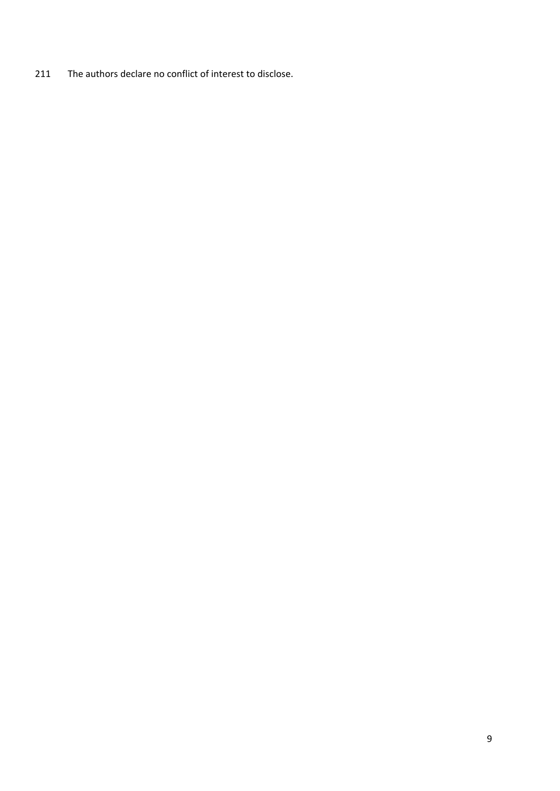The authors declare no conflict of interest to disclose.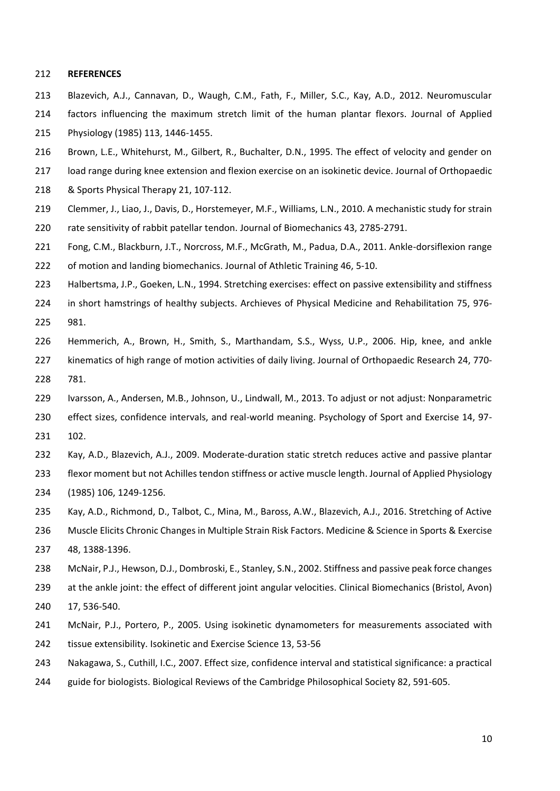#### **REFERENCES**

- Blazevich, A.J., Cannavan, D., Waugh, C.M., Fath, F., Miller, S.C., Kay, A.D., 2012. Neuromuscular
- factors influencing the maximum stretch limit of the human plantar flexors. Journal of Applied

Physiology (1985) 113, 1446-1455.

- Brown, L.E., Whitehurst, M., Gilbert, R., Buchalter, D.N., 1995. The effect of velocity and gender on
- load range during knee extension and flexion exercise on an isokinetic device. Journal of Orthopaedic
- & Sports Physical Therapy 21, 107-112.
- Clemmer, J., Liao, J., Davis, D., Horstemeyer, M.F., Williams, L.N., 2010. A mechanistic study for strain rate sensitivity of rabbit patellar tendon. Journal of Biomechanics 43, 2785-2791.
- Fong, C.M., Blackburn, J.T., Norcross, M.F., McGrath, M., Padua, D.A., 2011. Ankle-dorsiflexion range of motion and landing biomechanics. Journal of Athletic Training 46, 5-10.
- Halbertsma, J.P., Goeken, L.N., 1994. Stretching exercises: effect on passive extensibility and stiffness
- in short hamstrings of healthy subjects. Archieves of Physical Medicine and Rehabilitation 75, 976- 981.
- Hemmerich, A., Brown, H., Smith, S., Marthandam, S.S., Wyss, U.P., 2006. Hip, knee, and ankle kinematics of high range of motion activities of daily living. Journal of Orthopaedic Research 24, 770-
- 781.
- Ivarsson, A., Andersen, M.B., Johnson, U., Lindwall, M., 2013. To adjust or not adjust: Nonparametric

effect sizes, confidence intervals, and real-world meaning. Psychology of Sport and Exercise 14, 97-

- 102.
- Kay, A.D., Blazevich, A.J., 2009. Moderate-duration static stretch reduces active and passive plantar
- flexor moment but not Achilles tendon stiffness or active muscle length. Journal of Applied Physiology
- (1985) 106, 1249-1256.
- Kay, A.D., Richmond, D., Talbot, C., Mina, M., Baross, A.W., Blazevich, A.J., 2016. Stretching of Active Muscle Elicits Chronic Changes in Multiple Strain Risk Factors. Medicine & Science in Sports & Exercise
- 48, 1388-1396.
- McNair, P.J., Hewson, D.J., Dombroski, E., Stanley, S.N., 2002. Stiffness and passive peak force changes
- at the ankle joint: the effect of different joint angular velocities. Clinical Biomechanics (Bristol, Avon) 17, 536-540.
- McNair, P.J., Portero, P., 2005. Using isokinetic dynamometers for measurements associated with
- tissue extensibility. Isokinetic and Exercise Science 13, 53-56
- Nakagawa, S., Cuthill, I.C., 2007. Effect size, confidence interval and statistical significance: a practical
- guide for biologists. Biological Reviews of the Cambridge Philosophical Society 82, 591-605.